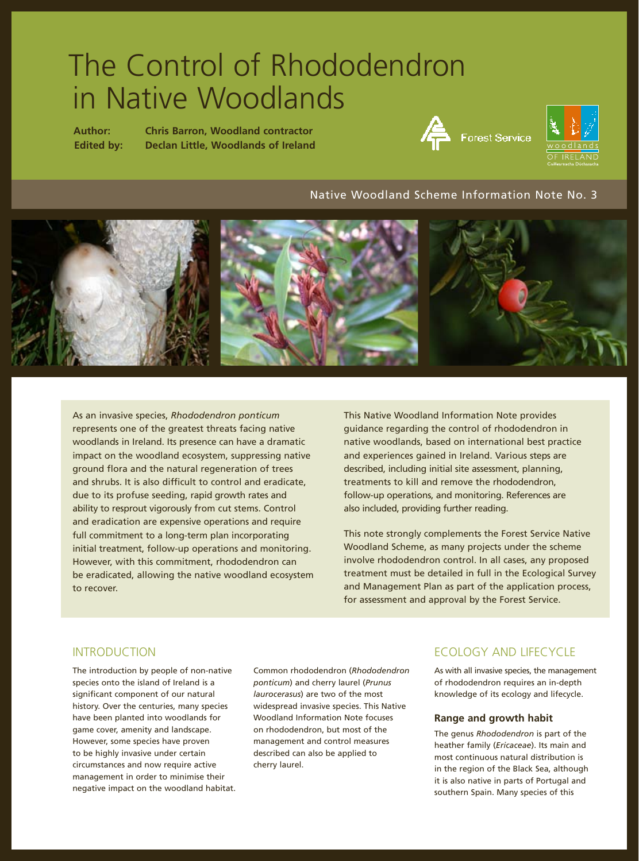# The Control of Rhododendron in Native Woodlands

**Author: Chris Barron, Woodland contractor Edited by: Declan Little, Woodlands of Ireland**





## Native Woodland Scheme Information Note No. 3



As an invasive species, *Rhododendron ponticum*  represents one of the greatest threats facing native woodlands in Ireland. Its presence can have a dramatic impact on the woodland ecosystem, suppressing native ground flora and the natural regeneration of trees and shrubs. It is also difficult to control and eradicate, due to its profuse seeding, rapid growth rates and ability to resprout vigorously from cut stems. Control and eradication are expensive operations and require full commitment to a long-term plan incorporating initial treatment, follow-up operations and monitoring. However, with this commitment, rhododendron can be eradicated, allowing the native woodland ecosystem to recover.

This Native Woodland Information Note provides guidance regarding the control of rhododendron in native woodlands, based on international best practice and experiences gained in Ireland. Various steps are described, including initial site assessment, planning, treatments to kill and remove the rhododendron, follow-up operations, and monitoring. References are also included, providing further reading.

This note strongly complements the Forest Service Native Woodland Scheme, as many projects under the scheme involve rhododendron control. In all cases, any proposed treatment must be detailed in full in the Ecological Survey and Management Plan as part of the application process, for assessment and approval by the Forest Service.

# INTRODUCTION

The introduction by people of non-native species onto the island of Ireland is a significant component of our natural history. Over the centuries, many species have been planted into woodlands for game cover, amenity and landscape. However, some species have proven to be highly invasive under certain circumstances and now require active management in order to minimise their negative impact on the woodland habitat. Common rhododendron (*Rhododendron ponticum*) and cherry laurel (*Prunus laurocerasus*) are two of the most widespread invasive species. This Native Woodland Information Note focuses on rhododendron, but most of the management and control measures described can also be applied to cherry laurel.

# ECOLOGY AND LIFECYCLE

As with all invasive species, the management of rhododendron requires an in-depth knowledge of its ecology and lifecycle.

#### **Range and growth habit**

The genus *Rhododendron* is part of the heather family (*Ericaceae*). Its main and most continuous natural distribution is in the region of the Black Sea, although it is also native in parts of Portugal and southern Spain. Many species of this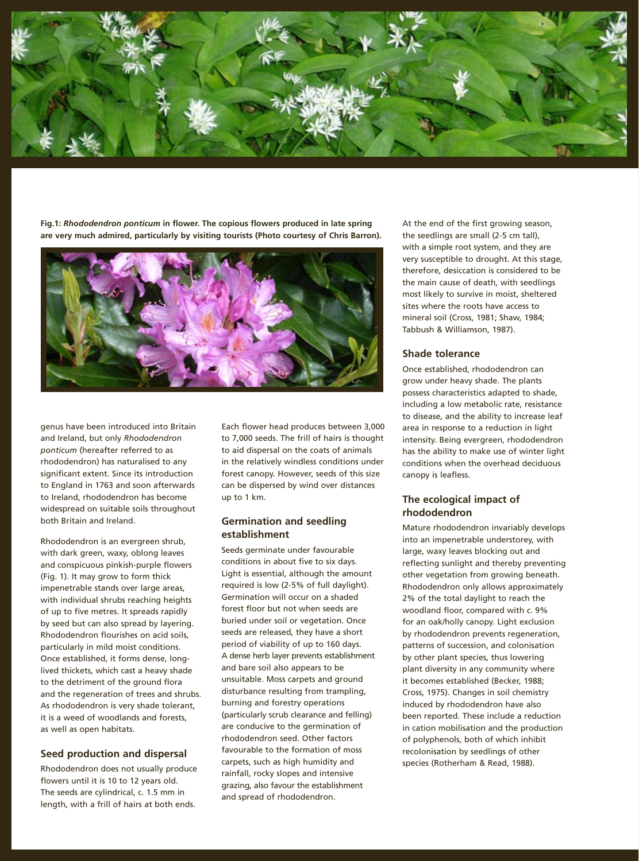

**Fig.1:** *Rhododendron ponticum* **in flower. The copious flowers produced in late spring are very much admired, particularly by visiting tourists (Photo courtesy of Chris Barron).**



genus have been introduced into Britain and Ireland, but only *Rhododendron ponticum* (hereafter referred to as rhododendron) has naturalised to any significant extent. Since its introduction to England in 1763 and soon afterwards to Ireland, rhododendron has become widespread on suitable soils throughout both Britain and Ireland.

Rhododendron is an evergreen shrub, with dark green, waxy, oblong leaves and conspicuous pinkish-purple flowers (Fig. 1). It may grow to form thick impenetrable stands over large areas, with individual shrubs reaching heights of up to five metres. It spreads rapidly by seed but can also spread by layering. Rhododendron flourishes on acid soils, particularly in mild moist conditions. Once established, it forms dense, longlived thickets, which cast a heavy shade to the detriment of the ground flora and the regeneration of trees and shrubs. As rhododendron is very shade tolerant, it is a weed of woodlands and forests, as well as open habitats.

#### **Seed production and dispersal**

Rhododendron does not usually produce flowers until it is 10 to 12 years old. The seeds are cylindrical, c. 1.5 mm in length, with a frill of hairs at both ends.

Each flower head produces between 3,000 to 7,000 seeds. The frill of hairs is thought to aid dispersal on the coats of animals in the relatively windless conditions under forest canopy. However, seeds of this size can be dispersed by wind over distances up to 1 km.

#### **Germination and seedling establishment**

Seeds germinate under favourable conditions in about five to six days. Light is essential, although the amount required is low (2-5% of full daylight). Germination will occur on a shaded forest floor but not when seeds are buried under soil or vegetation. Once seeds are released, they have a short period of viability of up to 160 days. A dense herb layer prevents establishment and bare soil also appears to be unsuitable. Moss carpets and ground disturbance resulting from trampling, burning and forestry operations (particularly scrub clearance and felling) are conducive to the germination of rhododendron seed. Other factors favourable to the formation of moss carpets, such as high humidity and rainfall, rocky slopes and intensive grazing, also favour the establishment and spread of rhododendron.

At the end of the first growing season, the seedlings are small (2-5 cm tall), with a simple root system, and they are very susceptible to drought. At this stage, therefore, desiccation is considered to be the main cause of death, with seedlings most likely to survive in moist, sheltered sites where the roots have access to mineral soil (Cross, 1981; Shaw, 1984; Tabbush & Williamson, 1987).

#### **Shade tolerance**

Once established, rhododendron can grow under heavy shade. The plants possess characteristics adapted to shade, including a low metabolic rate, resistance to disease, and the ability to increase leaf area in response to a reduction in light intensity. Being evergreen, rhododendron has the ability to make use of winter light conditions when the overhead deciduous canopy is leafless.

## **The ecological impact of rhododendron**

Mature rhododendron invariably develops into an impenetrable understorey, with large, waxy leaves blocking out and reflecting sunlight and thereby preventing other vegetation from growing beneath. Rhododendron only allows approximately 2% of the total daylight to reach the woodland floor, compared with *c.* 9% for an oak/holly canopy. Light exclusion by rhododendron prevents regeneration, patterns of succession, and colonisation by other plant species, thus lowering plant diversity in any community where it becomes established (Becker, 1988; Cross, 1975). Changes in soil chemistry induced by rhododendron have also been reported. These include a reduction in cation mobilisation and the production of polyphenols, both of which inhibit recolonisation by seedlings of other species (Rotherham & Read, 1988).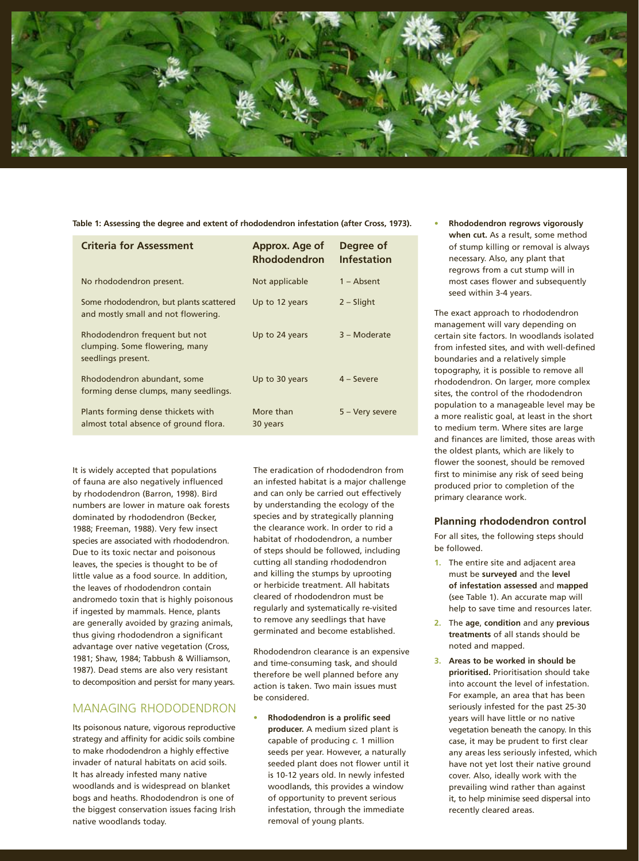

**Table 1: Assessing the degree and extent of rhododendron infestation (after Cross, 1973).**

| <b>Criteria for Assessment</b>                                                        | Approx. Age of<br><b>Rhododendron</b> | Degree of<br><b>Infestation</b> |
|---------------------------------------------------------------------------------------|---------------------------------------|---------------------------------|
| No rhododendron present.                                                              | Not applicable                        | 1 – Absent                      |
| Some rhododendron, but plants scattered<br>and mostly small and not flowering.        | Up to 12 years                        | $2 - S$ light                   |
| Rhododendron frequent but not<br>clumping. Some flowering, many<br>seedlings present. | Up to 24 years                        | 3 - Moderate                    |
| Rhododendron abundant, some<br>forming dense clumps, many seedlings.                  | Up to 30 years                        | $4 -$ Severe                    |
| Plants forming dense thickets with<br>almost total absence of ground flora.           | More than<br>30 years                 | 5 – Very severe                 |

It is widely accepted that populations of fauna are also negatively influenced by rhododendron (Barron, 1998). Bird numbers are lower in mature oak forests dominated by rhododendron (Becker, 1988; Freeman, 1988). Very few insect species are associated with rhododendron. Due to its toxic nectar and poisonous leaves, the species is thought to be of little value as a food source. In addition, the leaves of rhododendron contain andromedo toxin that is highly poisonous if ingested by mammals. Hence, plants are generally avoided by grazing animals, thus giving rhododendron a significant advantage over native vegetation (Cross, 1981; Shaw, 1984; Tabbush & Williamson, 1987). Dead stems are also very resistant to decomposition and persist for many years.

# MANAGING RHODODENDRON

Its poisonous nature, vigorous reproductive strategy and affinity for acidic soils combine to make rhododendron a highly effective invader of natural habitats on acid soils. It has already infested many native woodlands and is widespread on blanket bogs and heaths. Rhododendron is one of the biggest conservation issues facing Irish native woodlands today.

The eradication of rhododendron from an infested habitat is a major challenge and can only be carried out effectively by understanding the ecology of the species and by strategically planning the clearance work. In order to rid a habitat of rhododendron, a number of steps should be followed, including cutting all standing rhododendron and killing the stumps by uprooting or herbicide treatment. All habitats cleared of rhododendron must be regularly and systematically re-visited to remove any seedlings that have germinated and become established.

Rhododendron clearance is an expensive and time-consuming task, and should therefore be well planned before any action is taken. Two main issues must be considered.

**• Rhododendron is a prolific seed producer.** A medium sized plant is capable of producing *c.* 1 million seeds per year. However, a naturally seeded plant does not flower until it is 10-12 years old. In newly infested woodlands, this provides a window of opportunity to prevent serious infestation, through the immediate removal of young plants.

**• Rhododendron regrows vigorously when cut.** As a result, some method of stump killing or removal is always necessary. Also, any plant that regrows from a cut stump will in most cases flower and subsequently seed within 3-4 years.

The exact approach to rhododendron management will vary depending on certain site factors. In woodlands isolated from infested sites, and with well-defined boundaries and a relatively simple topography, it is possible to remove all rhododendron. On larger, more complex sites, the control of the rhododendron population to a manageable level may be a more realistic goal, at least in the short to medium term. Where sites are large and finances are limited, those areas with the oldest plants, which are likely to flower the soonest, should be removed first to minimise any risk of seed being produced prior to completion of the primary clearance work.

#### **Planning rhododendron control**

For all sites, the following steps should be followed.

- **1.** The entire site and adjacent area must be **surveyed** and the **level of infestation assessed** and **mapped** (see Table 1). An accurate map will help to save time and resources later.
- **2.** The **age**, **condition** and any **previous treatments** of all stands should be noted and mapped.
- **3. Areas to be worked in should be prioritised.** Prioritisation should take into account the level of infestation. For example, an area that has been seriously infested for the past 25-30 years will have little or no native vegetation beneath the canopy. In this case, it may be prudent to first clear any areas less seriously infested, which have not yet lost their native ground cover. Also, ideally work with the prevailing wind rather than against it, to help minimise seed dispersal into recently cleared areas.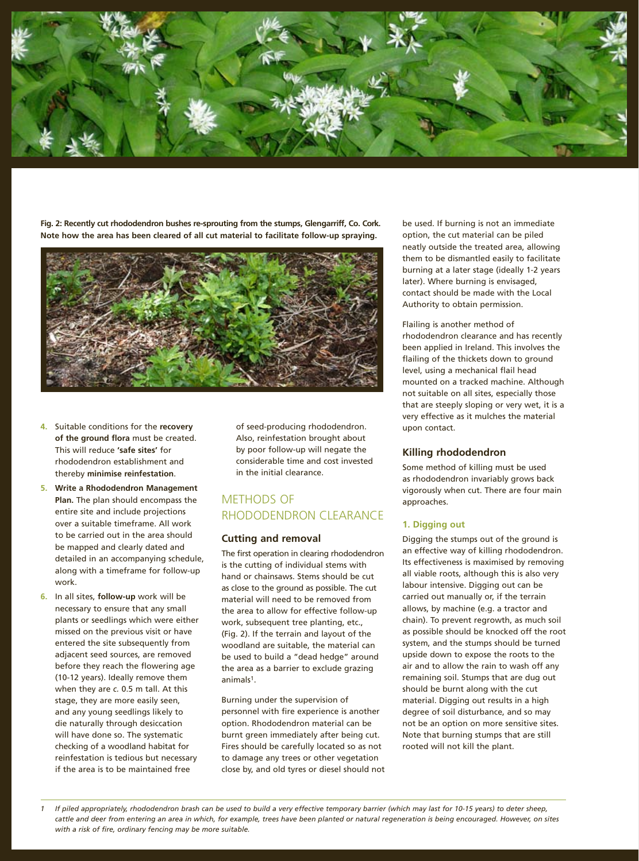

**Fig. 2: Recently cut rhododendron bushes re-sprouting from the stumps, Glengarriff, Co. Cork. Note how the area has been cleared of all cut material to facilitate follow-up spraying.**



- **4.** Suitable conditions for the **recovery of the ground flora** must be created. This will reduce **'safe sites'** for rhododendron establishment and thereby **minimise reinfestation**.
- **5. Write a Rhododendron Management Plan.** The plan should encompass the entire site and include projections over a suitable timeframe. All work to be carried out in the area should be mapped and clearly dated and detailed in an accompanying schedule, along with a timeframe for follow-up work.
- **6.** In all sites, **follow-up** work will be necessary to ensure that any small plants or seedlings which were either missed on the previous visit or have entered the site subsequently from adjacent seed sources, are removed before they reach the flowering age (10-12 years). Ideally remove them when they are *c.* 0.5 m tall. At this stage, they are more easily seen, and any young seedlings likely to die naturally through desiccation will have done so. The systematic checking of a woodland habitat for reinfestation is tedious but necessary if the area is to be maintained free

of seed-producing rhododendron. Also, reinfestation brought about by poor follow-up will negate the considerable time and cost invested in the initial clearance.

# METHODS OF RHODODENDRON CLEARANCE

#### **Cutting and removal**

The first operation in clearing rhododendron is the cutting of individual stems with hand or chainsaws. Stems should be cut as close to the ground as possible. The cut material will need to be removed from the area to allow for effective follow-up work, subsequent tree planting, etc., (Fig. 2). If the terrain and layout of the woodland are suitable, the material can be used to build a "dead hedge" around the area as a barrier to exclude grazing animals1.

Burning under the supervision of personnel with fire experience is another option. Rhododendron material can be burnt green immediately after being cut. Fires should be carefully located so as not to damage any trees or other vegetation close by, and old tyres or diesel should not be used. If burning is not an immediate option, the cut material can be piled neatly outside the treated area, allowing them to be dismantled easily to facilitate burning at a later stage (ideally 1-2 years later). Where burning is envisaged, contact should be made with the Local Authority to obtain permission.

#### Flailing is another method of rhododendron clearance and has recently been applied in Ireland. This involves the flailing of the thickets down to ground level, using a mechanical flail head mounted on a tracked machine. Although not suitable on all sites, especially those that are steeply sloping or very wet, it is a very effective as it mulches the material upon contact.

#### **Killing rhododendron**

Some method of killing must be used as rhododendron invariably grows back vigorously when cut. There are four main approaches.

#### **1. Digging out**

Digging the stumps out of the ground is an effective way of killing rhododendron. Its effectiveness is maximised by removing all viable roots, although this is also very labour intensive. Digging out can be carried out manually or, if the terrain allows, by machine (e.g. a tractor and chain). To prevent regrowth, as much soil as possible should be knocked off the root system, and the stumps should be turned upside down to expose the roots to the air and to allow the rain to wash off any remaining soil. Stumps that are dug out should be burnt along with the cut material. Digging out results in a high degree of soil disturbance, and so may not be an option on more sensitive sites. Note that burning stumps that are still rooted will not kill the plant.

*1 If piled appropriately, rhododendron brash can be used to build a very effective temporary barrier (which may last for 10-15 years) to deter sheep,*  cattle and deer from entering an area in which, for example, trees have been planted or natural regeneration is being encouraged. However, on sites *with a risk of fire, ordinary fencing may be more suitable.*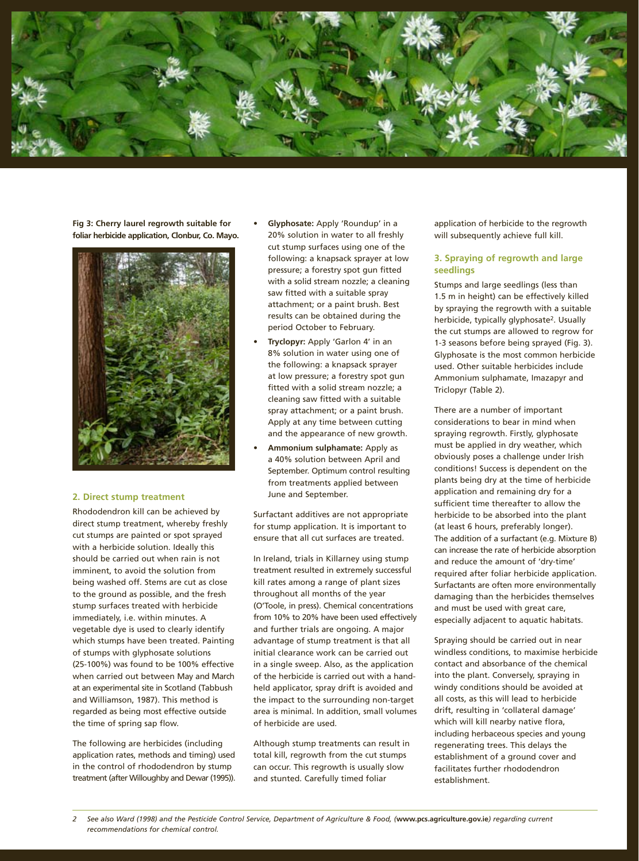

**Fig 3: Cherry laurel regrowth suitable for foliar herbicide application, Clonbur, Co. Mayo.**



#### **2. Direct stump treatment**

Rhododendron kill can be achieved by direct stump treatment, whereby freshly cut stumps are painted or spot sprayed with a herbicide solution. Ideally this should be carried out when rain is not imminent, to avoid the solution from being washed off. Stems are cut as close to the ground as possible, and the fresh stump surfaces treated with herbicide immediately, i.e. within minutes. A vegetable dye is used to clearly identify which stumps have been treated. Painting of stumps with glyphosate solutions (25-100%) was found to be 100% effective when carried out between May and March at an experimental site in Scotland (Tabbush and Williamson, 1987). This method is regarded as being most effective outside the time of spring sap flow.

The following are herbicides (including application rates, methods and timing) used in the control of rhododendron by stump treatment (after Willoughby and Dewar (1995)).

- **Glyphosate:** Apply 'Roundup' in a 20% solution in water to all freshly cut stump surfaces using one of the following: a knapsack sprayer at low pressure; a forestry spot gun fitted with a solid stream nozzle; a cleaning saw fitted with a suitable spray attachment; or a paint brush. Best results can be obtained during the period October to February.
- **Tryclopyr:** Apply 'Garlon 4' in an 8% solution in water using one of the following: a knapsack sprayer at low pressure; a forestry spot gun fitted with a solid stream nozzle; a cleaning saw fitted with a suitable spray attachment; or a paint brush. Apply at any time between cutting and the appearance of new growth.
- **Ammonium sulphamate:** Apply as a 40% solution between April and September. Optimum control resulting from treatments applied between June and September.

Surfactant additives are not appropriate for stump application. It is important to ensure that all cut surfaces are treated.

In Ireland, trials in Killarney using stump treatment resulted in extremely successful kill rates among a range of plant sizes throughout all months of the year (O'Toole, in press). Chemical concentrations from 10% to 20% have been used effectively and further trials are ongoing. A major advantage of stump treatment is that all initial clearance work can be carried out in a single sweep. Also, as the application of the herbicide is carried out with a handheld applicator, spray drift is avoided and the impact to the surrounding non-target area is minimal. In addition, small volumes of herbicide are used.

Although stump treatments can result in total kill, regrowth from the cut stumps can occur. This regrowth is usually slow and stunted. Carefully timed foliar

application of herbicide to the regrowth will subsequently achieve full kill.

#### **3. Spraying of regrowth and large seedlings**

Stumps and large seedlings (less than 1.5 m in height) can be effectively killed by spraying the regrowth with a suitable herbicide, typically glyphosate<sup>2</sup>. Usually the cut stumps are allowed to regrow for 1-3 seasons before being sprayed (Fig. 3). Glyphosate is the most common herbicide used. Other suitable herbicides include Ammonium sulphamate, Imazapyr and Triclopyr (Table 2).

There are a number of important considerations to bear in mind when spraying regrowth. Firstly, glyphosate must be applied in dry weather, which obviously poses a challenge under Irish conditions! Success is dependent on the plants being dry at the time of herbicide application and remaining dry for a sufficient time thereafter to allow the herbicide to be absorbed into the plant (at least 6 hours, preferably longer). The addition of a surfactant (e.g. Mixture B) can increase the rate of herbicide absorption and reduce the amount of 'dry-time' required after foliar herbicide application. Surfactants are often more environmentally damaging than the herbicides themselves and must be used with great care, especially adjacent to aquatic habitats.

Spraying should be carried out in near windless conditions, to maximise herbicide contact and absorbance of the chemical into the plant. Conversely, spraying in windy conditions should be avoided at all costs, as this will lead to herbicide drift, resulting in 'collateral damage' which will kill nearby native flora, including herbaceous species and young regenerating trees. This delays the establishment of a ground cover and facilitates further rhododendron establishment.

*2 See also Ward (1998) and the Pesticide Control Service, Department of Agriculture & Food, (***www.pcs.agriculture.gov.ie***) regarding current recommendations for chemical control.*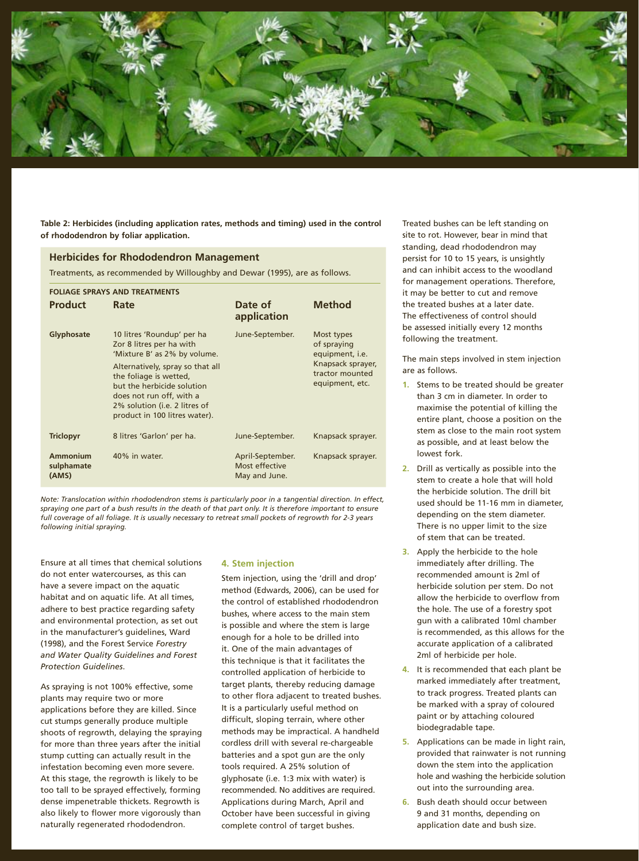

**Table 2: Herbicides (including application rates, methods and timing) used in the control of rhododendron by foliar application.**

#### **Herbicides for Rhododendron Management**

Treatments, as recommended by Willoughby and Dewar (1995), are as follows.

| <b>FOLIAGE SPRAYS AND TREATMENTS</b> |                                                                                                                                                                                                                                                                                  |                                                     |                                                                                                         |  |
|--------------------------------------|----------------------------------------------------------------------------------------------------------------------------------------------------------------------------------------------------------------------------------------------------------------------------------|-----------------------------------------------------|---------------------------------------------------------------------------------------------------------|--|
| <b>Product</b>                       | Rate                                                                                                                                                                                                                                                                             | Date of<br>application                              | <b>Method</b>                                                                                           |  |
| Glyphosate                           | 10 litres 'Roundup' per ha<br>Zor 8 litres per ha with<br>'Mixture B' as 2% by volume.<br>Alternatively, spray so that all<br>the foliage is wetted,<br>but the herbicide solution<br>does not run off, with a<br>2% solution (i.e. 2 litres of<br>product in 100 litres water). | June-September.                                     | Most types<br>of spraying<br>equipment, i.e.<br>Knapsack sprayer,<br>tractor mounted<br>equipment, etc. |  |
| <b>Triclopyr</b>                     | 8 litres 'Garlon' per ha.                                                                                                                                                                                                                                                        | June-September.                                     | Knapsack sprayer.                                                                                       |  |
| Ammonium<br>sulphamate<br>(AMS)      | 40% in water.                                                                                                                                                                                                                                                                    | April-September.<br>Most effective<br>May and June. | Knapsack sprayer.                                                                                       |  |

*Note: Translocation within rhododendron stems is particularly poor in a tangential direction. In effect, spraying one part of a bush results in the death of that part only. It is therefore important to ensure full coverage of all foliage. It is usually necessary to retreat small pockets of regrowth for 2-3 years following initial spraying.*

Ensure at all times that chemical solutions do not enter watercourses, as this can have a severe impact on the aquatic habitat and on aquatic life. At all times, adhere to best practice regarding safety and environmental protection, as set out in the manufacturer's guidelines, Ward (1998), and the Forest Service *Forestry and Water Quality Guidelines and Forest Protection Guidelines*.

As spraying is not 100% effective, some plants may require two or more applications before they are killed. Since cut stumps generally produce multiple shoots of regrowth, delaying the spraying for more than three years after the initial stump cutting can actually result in the infestation becoming even more severe. At this stage, the regrowth is likely to be too tall to be sprayed effectively, forming dense impenetrable thickets. Regrowth is also likely to flower more vigorously than naturally regenerated rhododendron.

#### **4. Stem injection**

Stem injection, using the 'drill and drop' method (Edwards, 2006), can be used for the control of established rhododendron bushes, where access to the main stem is possible and where the stem is large enough for a hole to be drilled into it. One of the main advantages of this technique is that it facilitates the controlled application of herbicide to target plants, thereby reducing damage to other flora adjacent to treated bushes. It is a particularly useful method on difficult, sloping terrain, where other methods may be impractical. A handheld cordless drill with several re-chargeable batteries and a spot gun are the only tools required. A 25% solution of glyphosate (i.e. 1:3 mix with water) is recommended. No additives are required. Applications during March, April and October have been successful in giving complete control of target bushes.

Treated bushes can be left standing on site to rot. However, bear in mind that standing, dead rhododendron may persist for 10 to 15 years, is unsightly and can inhibit access to the woodland for management operations. Therefore, it may be better to cut and remove the treated bushes at a later date. The effectiveness of control should be assessed initially every 12 months following the treatment.

The main steps involved in stem injection are as follows.

- **1.** Stems to be treated should be greater than 3 cm in diameter. In order to maximise the potential of killing the entire plant, choose a position on the stem as close to the main root system as possible, and at least below the lowest fork.
- **2.** Drill as vertically as possible into the stem to create a hole that will hold the herbicide solution. The drill bit used should be 11-16 mm in diameter, depending on the stem diameter. There is no upper limit to the size of stem that can be treated.
- **3.** Apply the herbicide to the hole immediately after drilling. The recommended amount is 2ml of herbicide solution per stem. Do not allow the herbicide to overflow from the hole. The use of a forestry spot gun with a calibrated 10ml chamber is recommended, as this allows for the accurate application of a calibrated 2ml of herbicide per hole.
- **4.** It is recommended that each plant be marked immediately after treatment, to track progress. Treated plants can be marked with a spray of coloured paint or by attaching coloured biodegradable tape.
- **5.** Applications can be made in light rain, provided that rainwater is not running down the stem into the application hole and washing the herbicide solution out into the surrounding area.
- **6.** Bush death should occur between 9 and 31 months, depending on application date and bush size.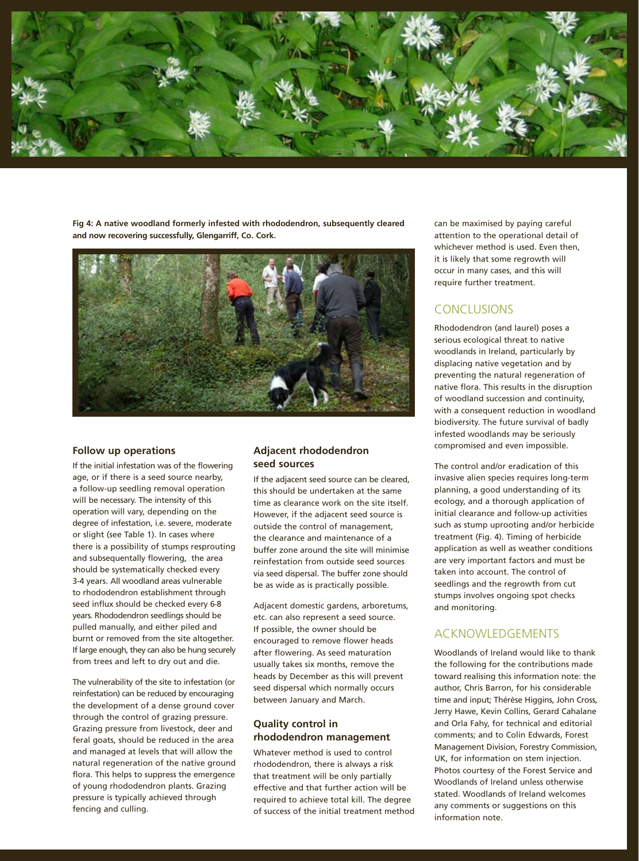

**Fig 4: A native woodland formerly infested with rhododendron, subsequently cleared and now recovering successfully, Glengarriff, Co. Cork.**



#### **Follow up operations**

If the initial infestation was of the flowering age, or if there is a seed source nearby, a follow-up seedling removal operation will be necessary. The intensity of this operation will vary, depending on the degree of infestation, i.e. severe, moderate or slight (see Table 1). In cases where there is a possibility of stumps resprouting and subsequentally flowering, the area should be systematically checked every 3-4 years. All woodland areas vulnerable to rhododendron establishment through seed influx should be checked every 6-8 years. Rhododendron seedlings should be pulled manually, and either piled and burnt or removed from the site altogether. If large enough, they can also be hung securely from trees and left to dry out and die.

The vulnerability of the site to infestation (or reinfestation) can be reduced by encouraging the development of a dense ground cover through the control of grazing pressure. Grazing pressure from livestock, deer and feral goats, should be reduced in the area and managed at levels that will allow the natural regeneration of the native ground flora. This helps to suppress the emergence of young rhododendron plants. Grazing pressure is typically achieved through fencing and culling.

## **Adjacent rhododendron seed sources**

If the adjacent seed source can be cleared, this should be undertaken at the same time as clearance work on the site itself. However, if the adjacent seed source is outside the control of management, the clearance and maintenance of a buffer zone around the site will minimise reinfestation from outside seed sources via seed dispersal. The buffer zone should be as wide as is practically possible.

Adjacent domestic gardens, arboretums, etc. can also represent a seed source. If possible, the owner should be encouraged to remove flower heads after flowering. As seed maturation usually takes six months, remove the heads by December as this will prevent seed dispersal which normally occurs between January and March.

## **Quality control in rhododendron management**

Whatever method is used to control rhododendron, there is always a risk that treatment will be only partially effective and that further action will be required to achieve total kill. The degree of success of the initial treatment method can be maximised by paying careful attention to the operational detail of whichever method is used. Even then, it is likely that some regrowth will occur in many cases, and this will require further treatment.

# **CONCLUSIONS**

Rhododendron (and laurel) poses a serious ecological threat to native woodlands in Ireland, particularly by displacing native vegetation and by preventing the natural regeneration of native flora. This results in the disruption of woodland succession and continuity, with a consequent reduction in woodland biodiversity. The future survival of badly infested woodlands may be seriously compromised and even impossible.

The control and/or eradication of this invasive alien species requires long-term planning, a good understanding of its ecology, and a thorough application of initial clearance and follow-up activities such as stump uprooting and/or herbicide treatment (Fig. 4). Timing of herbicide application as well as weather conditions are very important factors and must be taken into account. The control of seedlings and the regrowth from cut stumps involves ongoing spot checks and monitoring.

# ACKNOWLEDGEMENTS

Woodlands of Ireland would like to thank the following for the contributions made toward realising this information note: the author, Chris Barron, for his considerable time and input; Thérèse Higgins, John Cross, Jerry Hawe, Kevin Collins, Gerard Cahalane and Orla Fahy, for technical and editorial comments; and to Colin Edwards, Forest Management Division, Forestry Commission, UK, for information on stem injection. Photos courtesy of the Forest Service and Woodlands of Ireland unless otherwise stated. Woodlands of Ireland welcomes any comments or suggestions on this information note.